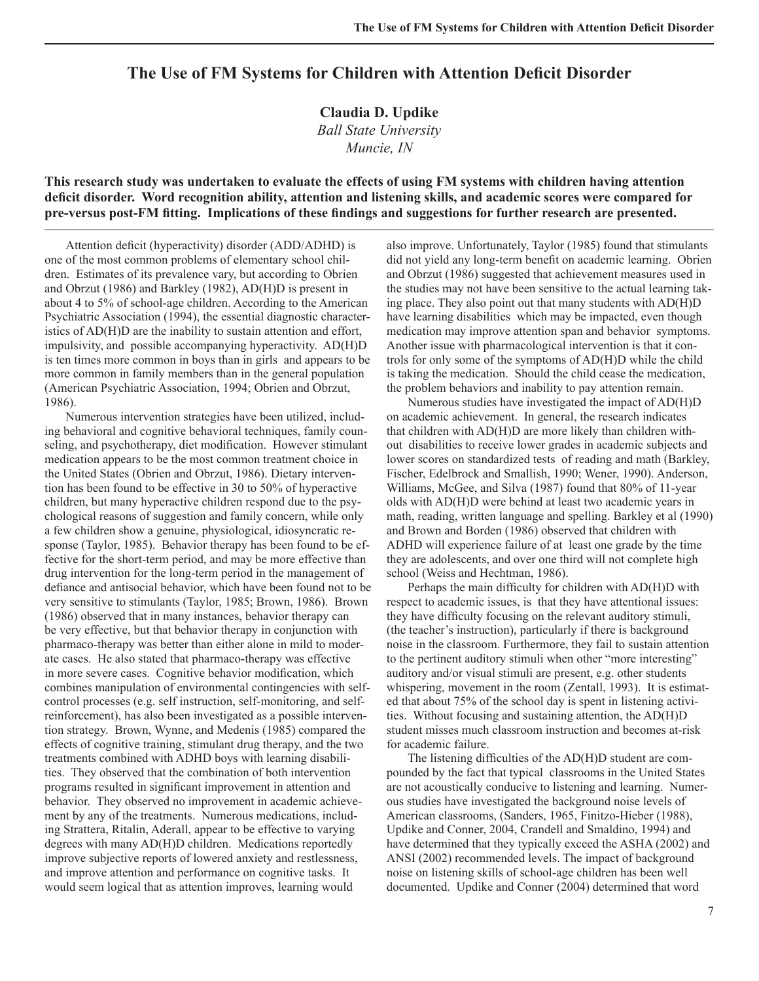# **The Use of FM Systems for Children with Attention Deficit Disorder**

**Claudia D. Updike** *Ball State University Muncie, IN* 

**This research study was undertaken to evaluate the effects of using FM systems with children having attention**  deficit disorder. Word recognition ability, attention and listening skills, and academic scores were compared for **pre-versus post-FM fitting. Implications of these findings and suggestions for further research are presented.** 

Attention deficit (hyperactivity) disorder (ADD/ADHD) is one of the most common problems of elementary school children. Estimates of its prevalence vary, but according to Obrien and Obrzut (1986) and Barkley (1982), AD(H)D is present in about 4 to 5% of school-age children. According to the American Psychiatric Association (1994), the essential diagnostic characteristics of AD(H)D are the inability to sustain attention and effort, impulsivity, and possible accompanying hyperactivity. AD(H)D is ten times more common in boys than in girls and appears to be more common in family members than in the general population (American Psychiatric Association, 1994; Obrien and Obrzut, 1986).

 Numerous intervention strategies have been utilized, including behavioral and cognitive behavioral techniques, family counseling, and psychotherapy, diet modification. However stimulant medication appears to be the most common treatment choice in the United States (Obrien and Obrzut, 1986). Dietary intervention has been found to be effective in 30 to 50% of hyperactive children, but many hyperactive children respond due to the psychological reasons of suggestion and family concern, while only a few children show a genuine, physiological, idiosyncratic response (Taylor, 1985). Behavior therapy has been found to be effective for the short-term period, and may be more effective than drug intervention for the long-term period in the management of defiance and antisocial behavior, which have been found not to be very sensitive to stimulants (Taylor, 1985; Brown, 1986). Brown (1986) observed that in many instances, behavior therapy can be very effective, but that behavior therapy in conjunction with pharmaco-therapy was better than either alone in mild to moderate cases. He also stated that pharmaco-therapy was effective in more severe cases. Cognitive behavior modification, which combines manipulation of environmental contingencies with selfcontrol processes (e.g. self instruction, self-monitoring, and selfreinforcement), has also been investigated as a possible intervention strategy. Brown, Wynne, and Medenis (1985) compared the effects of cognitive training, stimulant drug therapy, and the two treatments combined with ADHD boys with learning disabilities. They observed that the combination of both intervention programs resulted in significant improvement in attention and behavior. They observed no improvement in academic achievement by any of the treatments. Numerous medications, including Strattera, Ritalin, Aderall, appear to be effective to varying degrees with many AD(H)D children. Medications reportedly improve subjective reports of lowered anxiety and restlessness, and improve attention and performance on cognitive tasks. It would seem logical that as attention improves, learning would

also improve. Unfortunately, Taylor (1985) found that stimulants did not yield any long-term benefit on academic learning. Obrien and Obrzut (1986) suggested that achievement measures used in the studies may not have been sensitive to the actual learning taking place. They also point out that many students with AD(H)D have learning disabilities which may be impacted, even though medication may improve attention span and behavior symptoms. Another issue with pharmacological intervention is that it controls for only some of the symptoms of AD(H)D while the child is taking the medication. Should the child cease the medication, the problem behaviors and inability to pay attention remain.

 Numerous studies have investigated the impact of AD(H)D on academic achievement. In general, the research indicates that children with AD(H)D are more likely than children without disabilities to receive lower grades in academic subjects and lower scores on standardized tests of reading and math (Barkley, Fischer, Edelbrock and Smallish, 1990; Wener, 1990). Anderson, Williams, McGee, and Silva (1987) found that 80% of 11-year olds with AD(H)D were behind at least two academic years in math, reading, written language and spelling. Barkley et al (1990) and Brown and Borden (1986) observed that children with ADHD will experience failure of at least one grade by the time they are adolescents, and over one third will not complete high school (Weiss and Hechtman, 1986).

Perhaps the main difficulty for children with AD(H)D with respect to academic issues, is that they have attentional issues: they have difficulty focusing on the relevant auditory stimuli, (the teacher's instruction), particularly if there is background noise in the classroom. Furthermore, they fail to sustain attention to the pertinent auditory stimuli when other "more interesting" auditory and/or visual stimuli are present, e.g. other students whispering, movement in the room (Zentall, 1993). It is estimated that about 75% of the school day is spent in listening activities. Without focusing and sustaining attention, the AD(H)D student misses much classroom instruction and becomes at-risk for academic failure.

The listening difficulties of the  $AD(H)D$  student are compounded by the fact that typical classrooms in the United States are not acoustically conducive to listening and learning. Numerous studies have investigated the background noise levels of American classrooms, (Sanders, 1965, Finitzo-Hieber (1988), Updike and Conner, 2004, Crandell and Smaldino, 1994) and have determined that they typically exceed the ASHA (2002) and ANSI (2002) recommended levels. The impact of background noise on listening skills of school-age children has been well documented. Updike and Conner (2004) determined that word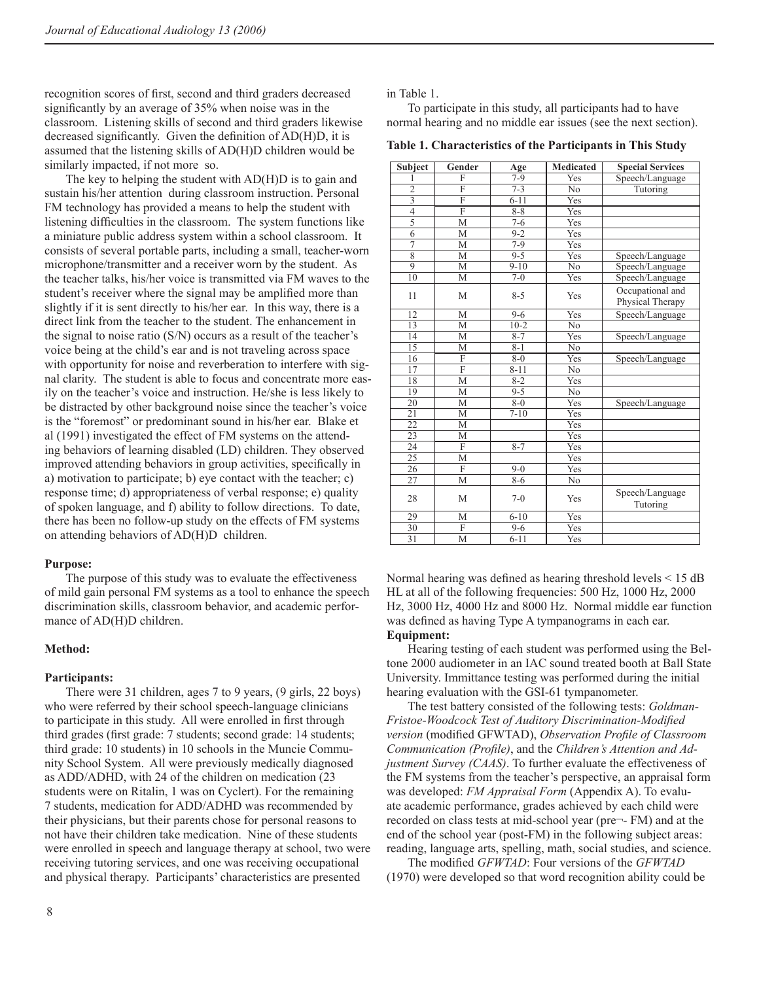recognition scores of first, second and third graders decreased significantly by an average of 35% when noise was in the classroom. Listening skills of second and third graders likewise decreased significantly. Given the definition of AD(H)D, it is assumed that the listening skills of AD(H)D children would be similarly impacted, if not more so.

 The key to helping the student with AD(H)D is to gain and sustain his/her attention during classroom instruction. Personal FM technology has provided a means to help the student with listening difficulties in the classroom. The system functions like a miniature public address system within a school classroom. It consists of several portable parts, including a small, teacher-worn microphone/transmitter and a receiver worn by the student. As the teacher talks, his/her voice is transmitted via FM waves to the student's receiver where the signal may be amplified more than slightly if it is sent directly to his/her ear. In this way, there is a direct link from the teacher to the student. The enhancement in the signal to noise ratio (S/N) occurs as a result of the teacher's voice being at the child's ear and is not traveling across space with opportunity for noise and reverberation to interfere with signal clarity. The student is able to focus and concentrate more easily on the teacher's voice and instruction. He/she is less likely to be distracted by other background noise since the teacher's voice is the "foremost" or predominant sound in his/her ear. Blake et al (1991) investigated the effect of FM systems on the attending behaviors of learning disabled (LD) children. They observed improved attending behaviors in group activities, specifically in a) motivation to participate; b) eye contact with the teacher; c) response time; d) appropriateness of verbal response; e) quality of spoken language, and f) ability to follow directions. To date, there has been no follow-up study on the effects of FM systems on attending behaviors of AD(H)D children.

## **Purpose:**

 The purpose of this study was to evaluate the effectiveness of mild gain personal FM systems as a tool to enhance the speech discrimination skills, classroom behavior, and academic performance of AD(H)D children.

## **Method:**

## **Participants:**

 There were 31 children, ages 7 to 9 years, (9 girls, 22 boys) who were referred by their school speech-language clinicians to participate in this study. All were enrolled in first through third grades (first grade: 7 students; second grade: 14 students; third grade: 10 students) in 10 schools in the Muncie Community School System. All were previously medically diagnosed as ADD/ADHD, with 24 of the children on medication (23 students were on Ritalin, 1 was on Cyclert). For the remaining 7 students, medication for ADD/ADHD was recommended by their physicians, but their parents chose for personal reasons to not have their children take medication. Nine of these students were enrolled in speech and language therapy at school, two were receiving tutoring services, and one was receiving occupational and physical therapy. Participants' characteristics are presented

in Table 1.

 To participate in this study, all participants had to have normal hearing and no middle ear issues (see the next section).

**Table 1. Characteristics of the Participants in This Study** 

| Subject                 | Gender                  | Age                | <b>Medicated</b> | <b>Special Services</b>              |
|-------------------------|-------------------------|--------------------|------------------|--------------------------------------|
| 1                       | F                       | $7-9$              | Yes              | Speech/Language                      |
| $\overline{2}$          | $\overline{\mathrm{F}}$ | $\overline{7} - 3$ | N <sub>o</sub>   | Tutoring                             |
| $\overline{3}$          | $\overline{F}$          | $6 - 11$           | Yes              |                                      |
| $\overline{\mathbf{4}}$ | F                       | $8 - 8$            | Yes              |                                      |
| $\overline{5}$          | M                       | $7-6$              | Yes              |                                      |
| $\overline{6}$          | M                       | $9 - 2$            | Yes              |                                      |
| $\overline{7}$          | М                       | $7-9$              | Yes              |                                      |
| $\overline{8}$          | M                       | $9 - 5$            | Yes              | Speech/Language                      |
| $\overline{9}$          | М                       | $9 - 10$           | N <sub>0</sub>   | Speech/Language                      |
| 10                      | М                       | $\overline{7} - 0$ | Yes              | Speech/Language                      |
| 11                      | M                       | $8 - 5$            | Yes              | Occupational and<br>Physical Therapy |
| 12                      | M                       | $9 - 6$            | Yes              | Speech/Language                      |
| 13                      | M                       | $10-2$             | N <sub>0</sub>   |                                      |
| 14                      | M                       | $8 - 7$            | Yes              | Speech/Language                      |
| 15                      | М                       | $8 - 1$            | N <sub>0</sub>   |                                      |
| 16                      | F                       | $8 - 0$            | Yes              | Speech/Language                      |
| $\overline{17}$         | $\overline{\mathrm{F}}$ | $8 - 11$           | N <sub>0</sub>   |                                      |
| 18                      | M                       | $8 - 2$            | Yes              |                                      |
| 19                      | M                       | $9 - 5$            | No               |                                      |
| 20                      | M                       | $8 - 0$            | Yes              | Speech/Language                      |
| $\overline{21}$         | М                       | $7 - 10$           | Yes              |                                      |
| 22                      | M                       |                    | Yes              |                                      |
| 23                      | М                       |                    | Yes              |                                      |
| 24                      | F                       | $8 - 7$            | Yes              |                                      |
| $\overline{25}$         | M                       |                    | Yes              |                                      |
| $\overline{26}$         | $\overline{F}$          | $9-0$              | Yes              |                                      |
| 27                      | М                       | $8 - 6$            | No               |                                      |
| 28                      | M                       | $7-0$              | Yes              | Speech/Language<br>Tutoring          |
| 29                      | М                       | $6 - 10$           | Yes              |                                      |
| 30                      | F                       | $9 - 6$            | Yes              |                                      |
| 31                      | M                       | $6 - 11$           | Yes              |                                      |

Normal hearing was defined as hearing threshold levels  $\leq 15$  dB HL at all of the following frequencies: 500 Hz, 1000 Hz, 2000 Hz, 3000 Hz, 4000 Hz and 8000 Hz. Normal middle ear function was defined as having Type A tympanograms in each ear. **Equipment:** 

 Hearing testing of each student was performed using the Beltone 2000 audiometer in an IAC sound treated booth at Ball State University. Immittance testing was performed during the initial hearing evaluation with the GSI-61 tympanometer.

 The test battery consisted of the following tests: *Goldman-*Fristoe-Woodcock Test of Auditory Discrimination-Modified *version* (modified GFWTAD), *Observation Profile of Classroom* Communication (Profile), and the *Children's Attention and Adjustment Survey (CAAS)*. To further evaluate the effectiveness of the FM systems from the teacher's perspective, an appraisal form was developed: *FM Appraisal Form* (Appendix A). To evaluate academic performance, grades achieved by each child were recorded on class tests at mid-school year (pre¬- FM) and at the end of the school year (post-FM) in the following subject areas: reading, language arts, spelling, math, social studies, and science.

The modified *GFWTAD*: Four versions of the *GFWTAD* (1970) were developed so that word recognition ability could be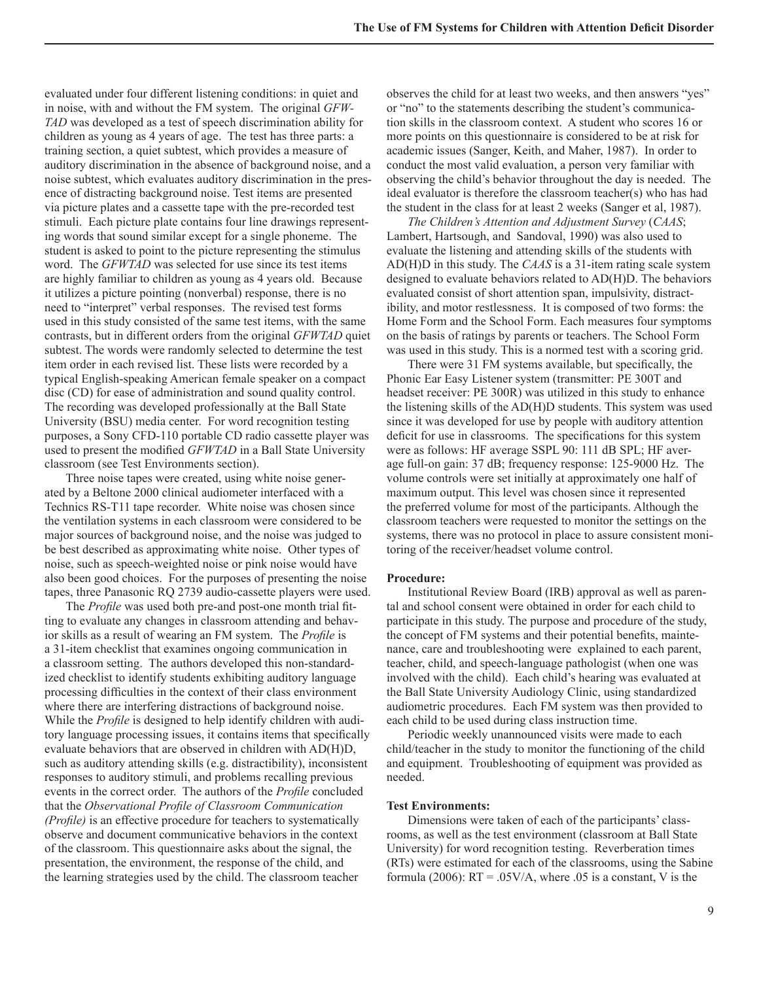evaluated under four different listening conditions: in quiet and in noise, with and without the FM system. The original *GFW-TAD* was developed as a test of speech discrimination ability for children as young as 4 years of age. The test has three parts: a training section, a quiet subtest, which provides a measure of auditory discrimination in the absence of background noise, and a noise subtest, which evaluates auditory discrimination in the presence of distracting background noise. Test items are presented via picture plates and a cassette tape with the pre-recorded test stimuli. Each picture plate contains four line drawings representing words that sound similar except for a single phoneme. The student is asked to point to the picture representing the stimulus word. The *GFWTAD* was selected for use since its test items are highly familiar to children as young as 4 years old. Because it utilizes a picture pointing (nonverbal) response, there is no need to "interpret" verbal responses. The revised test forms used in this study consisted of the same test items, with the same contrasts, but in different orders from the original *GFWTAD* quiet subtest. The words were randomly selected to determine the test item order in each revised list. These lists were recorded by a typical English-speaking American female speaker on a compact disc (CD) for ease of administration and sound quality control. The recording was developed professionally at the Ball State University (BSU) media center. For word recognition testing purposes, a Sony CFD-110 portable CD radio cassette player was used to present the modified *GFWTAD* in a Ball State University classroom (see Test Environments section).

 Three noise tapes were created, using white noise generated by a Beltone 2000 clinical audiometer interfaced with a Technics RS-T11 tape recorder. White noise was chosen since the ventilation systems in each classroom were considered to be major sources of background noise, and the noise was judged to be best described as approximating white noise. Other types of noise, such as speech-weighted noise or pink noise would have also been good choices. For the purposes of presenting the noise tapes, three Panasonic RQ 2739 audio-cassette players were used.

The *Profile* was used both pre-and post-one month trial fitting to evaluate any changes in classroom attending and behavior skills as a result of wearing an FM system. The *Profile* is a 31-item checklist that examines ongoing communication in a classroom setting. The authors developed this non-standardized checklist to identify students exhibiting auditory language processing difficulties in the context of their class environment where there are interfering distractions of background noise. While the *Profile* is designed to help identify children with auditory language processing issues, it contains items that specifically evaluate behaviors that are observed in children with AD(H)D, such as auditory attending skills (e.g. distractibility), inconsistent responses to auditory stimuli, and problems recalling previous events in the correct order. The authors of the *Profile* concluded that the *Observational Profile of Classroom Communication (Profile)* is an effective procedure for teachers to systematically observe and document communicative behaviors in the context of the classroom. This questionnaire asks about the signal, the presentation, the environment, the response of the child, and the learning strategies used by the child. The classroom teacher

observes the child for at least two weeks, and then answers "yes" or "no" to the statements describing the student's communication skills in the classroom context. A student who scores 16 or more points on this questionnaire is considered to be at risk for academic issues (Sanger, Keith, and Maher, 1987). In order to conduct the most valid evaluation, a person very familiar with observing the child's behavior throughout the day is needed. The ideal evaluator is therefore the classroom teacher(s) who has had the student in the class for at least 2 weeks (Sanger et al, 1987).

*The Children's Attention and Adjustment Survey* (*CAAS*; Lambert, Hartsough, and Sandoval, 1990) was also used to evaluate the listening and attending skills of the students with AD(H)D in this study. The *CAAS* is a 31-item rating scale system designed to evaluate behaviors related to AD(H)D. The behaviors evaluated consist of short attention span, impulsivity, distractibility, and motor restlessness. It is composed of two forms: the Home Form and the School Form. Each measures four symptoms on the basis of ratings by parents or teachers. The School Form was used in this study. This is a normed test with a scoring grid.

There were 31 FM systems available, but specifically, the Phonic Ear Easy Listener system (transmitter: PE 300T and headset receiver: PE 300R) was utilized in this study to enhance the listening skills of the AD(H)D students. This system was used since it was developed for use by people with auditory attention deficit for use in classrooms. The specifications for this system were as follows: HF average SSPL 90: 111 dB SPL; HF average full-on gain: 37 dB; frequency response: 125-9000 Hz. The volume controls were set initially at approximately one half of maximum output. This level was chosen since it represented the preferred volume for most of the participants. Although the classroom teachers were requested to monitor the settings on the systems, there was no protocol in place to assure consistent monitoring of the receiver/headset volume control.

#### **Procedure:**

 Institutional Review Board (IRB) approval as well as parental and school consent were obtained in order for each child to participate in this study. The purpose and procedure of the study, the concept of FM systems and their potential benefits, maintenance, care and troubleshooting were explained to each parent, teacher, child, and speech-language pathologist (when one was involved with the child). Each child's hearing was evaluated at the Ball State University Audiology Clinic, using standardized audiometric procedures. Each FM system was then provided to each child to be used during class instruction time.

 Periodic weekly unannounced visits were made to each child/teacher in the study to monitor the functioning of the child and equipment. Troubleshooting of equipment was provided as needed.

#### **Test Environments:**

 Dimensions were taken of each of the participants' classrooms, as well as the test environment (classroom at Ball State University) for word recognition testing. Reverberation times (RTs) were estimated for each of the classrooms, using the Sabine formula (2006):  $RT = .05V/A$ , where  $.05$  is a constant, V is the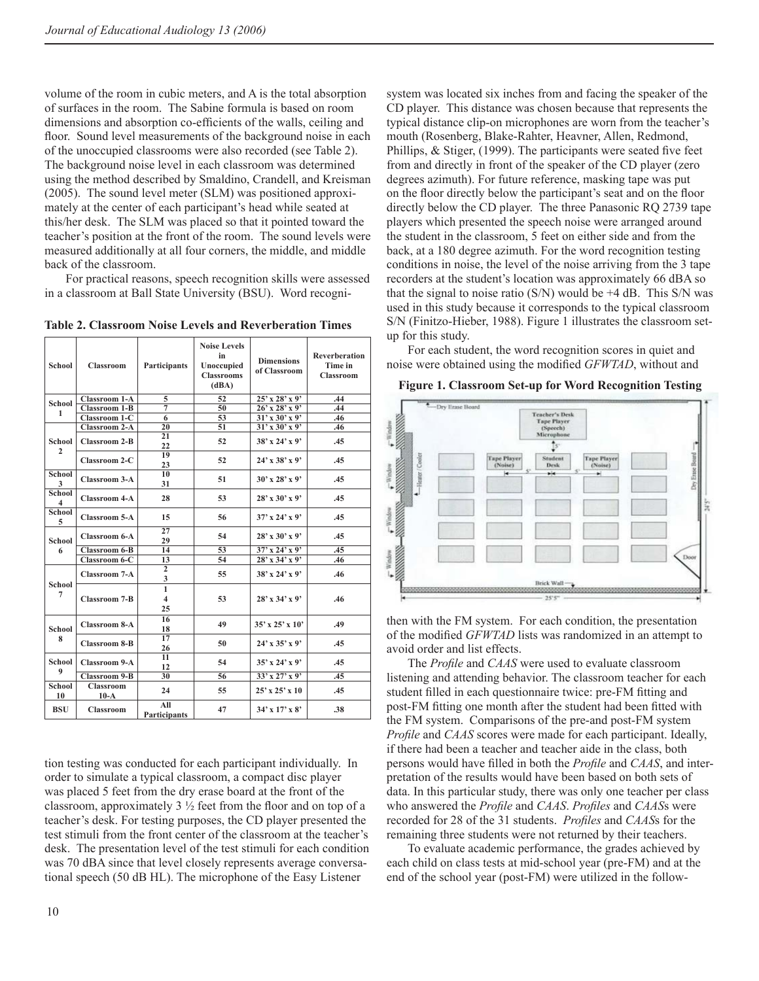volume of the room in cubic meters, and A is the total absorption of surfaces in the room. The Sabine formula is based on room dimensions and absorption co-efficients of the walls, ceiling and floor. Sound level measurements of the background noise in each of the unoccupied classrooms were also recorded (see Table 2). The background noise level in each classroom was determined using the method described by Smaldino, Crandell, and Kreisman (2005). The sound level meter (SLM) was positioned approximately at the center of each participant's head while seated at this/her desk. The SLM was placed so that it pointed toward the teacher's position at the front of the room. The sound levels were measured additionally at all four corners, the middle, and middle back of the classroom.

 For practical reasons, speech recognition skills were assessed in a classroom at Ball State University (BSU). Word recogni-

**Table 2. Classroom Noise Levels and Reverberation Times** 

| <b>School</b>          | <b>Classroom</b>           | Participants                                  | <b>Noise Levels</b><br>in<br>Unoccupied<br><b>Classrooms</b><br>(dBA) | <b>Dimensions</b><br>of Classroom | Reverberation<br>Time in<br><b>Classroom</b> |
|------------------------|----------------------------|-----------------------------------------------|-----------------------------------------------------------------------|-----------------------------------|----------------------------------------------|
| School                 | <b>Classroom 1-A</b>       | 5                                             | 52                                                                    | $25'$ x $28'$ x 9'                | .44                                          |
| 1                      | <b>Classroom 1-B</b>       | $\overline{7}$                                | 50                                                                    | $26'$ x $28'$ x 9'                | .44                                          |
|                        | Classroom 1-C              | $\overline{6}$                                | 53                                                                    | $31'$ x $30'$ x 9'                | .46                                          |
|                        | <b>Classroom 2-A</b>       | $\overline{20}$                               | 51                                                                    | $31'$ x 30' x 9'                  | .46                                          |
| School<br>$\mathbf{2}$ | <b>Classroom 2-B</b>       | 21<br>22                                      | 52                                                                    | $38'$ x 24' x 9'                  | .45                                          |
|                        | <b>Classroom 2-C</b>       | 19<br>23                                      | 52                                                                    | $24'$ x 38' x 9'                  | .45                                          |
| School<br>3            | <b>Classroom 3-A</b>       | 10<br>31                                      | 51                                                                    | $30'$ x 28' x 9'                  | .45                                          |
| School<br>4            | <b>Classroom 4-A</b>       | 28                                            | 53                                                                    | $28'$ x 30' x 9'                  | .45                                          |
| School<br>5            | <b>Classroom 5-A</b>       | 15                                            | 56                                                                    | $37'$ x 24' x 9'                  | .45                                          |
| School                 | <b>Classroom 6-A</b>       | 27<br>29                                      | 54                                                                    | $28'$ x 30' x 9'                  | .45                                          |
| 6                      | <b>Classroom 6-B</b>       | 14                                            | 53                                                                    | $37'$ x 24' x 9'                  | .45                                          |
|                        | Classroom 6-C              | 13                                            | 54                                                                    | $28'$ x 34' x 9'                  | .46                                          |
| <b>School</b><br>7     | <b>Classroom 7-A</b>       | $\overline{2}$<br>3                           | 55                                                                    | $38'$ x $24'$ x 9'                | .46                                          |
|                        | <b>Classroom 7-B</b>       | $\mathbf{1}$<br>$\overline{\mathbf{4}}$<br>25 | 53                                                                    | $28'$ x 34' x 9'                  | .46                                          |
| School<br>8            | <b>Classroom 8-A</b>       | 16<br>18                                      | 49                                                                    | $35'$ x $25'$ x $10'$             | .49                                          |
|                        | <b>Classroom 8-B</b>       | 17<br>26                                      | 50                                                                    | $24'$ x 35' x 9'                  | .45                                          |
| <b>School</b>          | Classroom 9-A              | 11<br>12                                      | 54                                                                    | $35'$ x 24' x 9'                  | .45                                          |
| 9                      | <b>Classroom 9-B</b>       | 30                                            | 56                                                                    | 33' x 27' x 9'                    | .45                                          |
| School<br>10           | <b>Classroom</b><br>$10-A$ | 24                                            | 55                                                                    | $25'$ x $25'$ x $10$              | .45                                          |
| <b>BSU</b>             | Classroom                  | All<br>Participants                           | 47                                                                    | $34'$ x $17'$ x $8'$              | .38                                          |

tion testing was conducted for each participant individually. In order to simulate a typical classroom, a compact disc player was placed 5 feet from the dry erase board at the front of the classroom, approximately  $3\frac{1}{2}$  feet from the floor and on top of a teacher's desk. For testing purposes, the CD player presented the test stimuli from the front center of the classroom at the teacher's desk. The presentation level of the test stimuli for each condition was 70 dBA since that level closely represents average conversational speech (50 dB HL). The microphone of the Easy Listener

system was located six inches from and facing the speaker of the CD player. This distance was chosen because that represents the typical distance clip-on microphones are worn from the teacher's mouth (Rosenberg, Blake-Rahter, Heavner, Allen, Redmond, Phillips,  $&$  Stiger, (1999). The participants were seated five feet from and directly in front of the speaker of the CD player (zero degrees azimuth). For future reference, masking tape was put on the floor directly below the participant's seat and on the floor directly below the CD player. The three Panasonic RQ 2739 tape players which presented the speech noise were arranged around the student in the classroom, 5 feet on either side and from the back, at a 180 degree azimuth. For the word recognition testing conditions in noise, the level of the noise arriving from the 3 tape recorders at the student's location was approximately 66 dBA so that the signal to noise ratio  $(S/N)$  would be  $+4$  dB. This S/N was used in this study because it corresponds to the typical classroom S/N (Finitzo-Hieber, 1988). Figure 1 illustrates the classroom setup for this study.

 For each student, the word recognition scores in quiet and noise were obtained using the modified *GFWTAD*, without and



**Figure 1. Classroom Set-up for Word Recognition Testing**

then with the FM system. For each condition, the presentation of the modified *GFWTAD* lists was randomized in an attempt to avoid order and list effects.

The *Profile* and *CAAS* were used to evaluate classroom listening and attending behavior. The classroom teacher for each student filled in each questionnaire twice: pre-FM fitting and post-FM fitting one month after the student had been fitted with the FM system. Comparisons of the pre-and post-FM system *Profile* and *CAAS* scores were made for each participant. Ideally, if there had been a teacher and teacher aide in the class, both persons would have fi lled in both the *Profi le* and *CAAS*, and interpretation of the results would have been based on both sets of data. In this particular study, there was only one teacher per class who answered the *Profile* and *CAAS*. *Profiles* and *CAAS*s were recorded for 28 of the 31 students. *Profiles* and *CAAS*s for the remaining three students were not returned by their teachers.

 To evaluate academic performance, the grades achieved by each child on class tests at mid-school year (pre-FM) and at the end of the school year (post-FM) were utilized in the follow-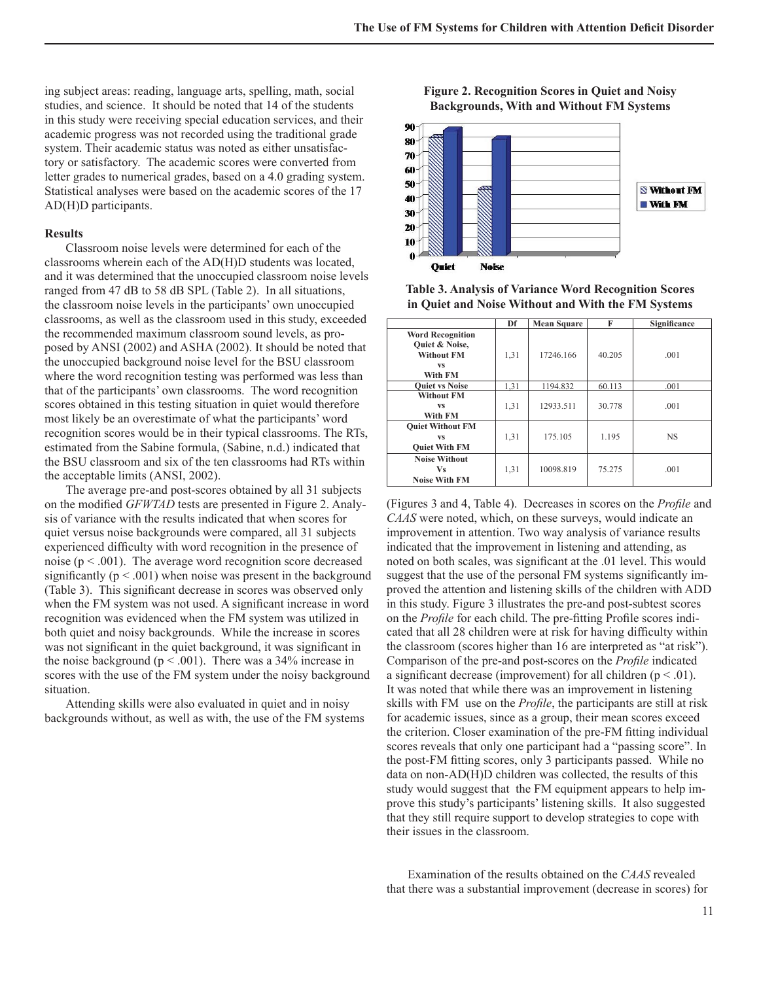ing subject areas: reading, language arts, spelling, math, social studies, and science. It should be noted that 14 of the students in this study were receiving special education services, and their academic progress was not recorded using the traditional grade system. Their academic status was noted as either unsatisfactory or satisfactory. The academic scores were converted from letter grades to numerical grades, based on a 4.0 grading system. Statistical analyses were based on the academic scores of the 17 AD(H)D participants.

#### **Results**

 Classroom noise levels were determined for each of the classrooms wherein each of the AD(H)D students was located, and it was determined that the unoccupied classroom noise levels ranged from 47 dB to 58 dB SPL (Table 2). In all situations, the classroom noise levels in the participants' own unoccupied classrooms, as well as the classroom used in this study, exceeded the recommended maximum classroom sound levels, as proposed by ANSI (2002) and ASHA (2002). It should be noted that the unoccupied background noise level for the BSU classroom where the word recognition testing was performed was less than that of the participants' own classrooms. The word recognition scores obtained in this testing situation in quiet would therefore most likely be an overestimate of what the participants' word recognition scores would be in their typical classrooms. The RTs, estimated from the Sabine formula, (Sabine, n.d.) indicated that the BSU classroom and six of the ten classrooms had RTs within the acceptable limits (ANSI, 2002).

 The average pre-and post-scores obtained by all 31 subjects on the modified *GFWTAD* tests are presented in Figure 2. Analysis of variance with the results indicated that when scores for quiet versus noise backgrounds were compared, all 31 subjects experienced difficulty with word recognition in the presence of noise ( $p < .001$ ). The average word recognition score decreased significantly ( $p < .001$ ) when noise was present in the background (Table 3). This significant decrease in scores was observed only when the FM system was not used. A significant increase in word recognition was evidenced when the FM system was utilized in both quiet and noisy backgrounds. While the increase in scores was not significant in the quiet background, it was significant in the noise background ( $p < .001$ ). There was a 34% increase in scores with the use of the FM system under the noisy background situation.

 Attending skills were also evaluated in quiet and in noisy backgrounds without, as well as with, the use of the FM systems



**Table 3. Analysis of Variance Word Recognition Scores in Quiet and Noise Without and With the FM Systems**

|                                                                                        | Df   | <b>Mean Square</b> | F      | Significance |
|----------------------------------------------------------------------------------------|------|--------------------|--------|--------------|
| <b>Word Recognition</b><br>Quiet & Noise,<br><b>Without FM</b><br><b>VS</b><br>With FM | 1,31 | 17246.166          | 40.205 | .001         |
| <b>Ouiet vs Noise</b>                                                                  | 1,31 | 1194.832           | 60.113 | .001         |
| <b>Without FM</b><br><b>VS</b><br>With FM                                              | 1,31 | 12933.511          | 30.778 | .001         |
| <b>Quiet Without FM</b><br><b>VS</b><br><b>Quiet With FM</b>                           | 1,31 | 175.105            | 1.195  | <b>NS</b>    |
| <b>Noise Without</b><br><b>Vs</b><br><b>Noise With FM</b>                              | 1,31 | 10098.819          | 75.275 | .001         |

(Figures 3 and 4, Table 4). Decreases in scores on the *Profile* and *CAAS* were noted, which, on these surveys, would indicate an improvement in attention. Two way analysis of variance results indicated that the improvement in listening and attending, as noted on both scales, was significant at the .01 level. This would suggest that the use of the personal FM systems significantly improved the attention and listening skills of the children with ADD in this study. Figure 3 illustrates the pre-and post-subtest scores on the *Profile* for each child. The pre-fitting Profile scores indicated that all 28 children were at risk for having difficulty within the classroom (scores higher than 16 are interpreted as "at risk"). Comparison of the pre-and post-scores on the *Profile* indicated a significant decrease (improvement) for all children ( $p < .01$ ). It was noted that while there was an improvement in listening skills with FM use on the *Profile*, the participants are still at risk for academic issues, since as a group, their mean scores exceed the criterion. Closer examination of the pre-FM fitting individual scores reveals that only one participant had a "passing score". In the post-FM fitting scores, only 3 participants passed. While no data on non-AD(H)D children was collected, the results of this study would suggest that the FM equipment appears to help improve this study's participants' listening skills. It also suggested that they still require support to develop strategies to cope with their issues in the classroom.

 Examination of the results obtained on the *CAAS* revealed that there was a substantial improvement (decrease in scores) for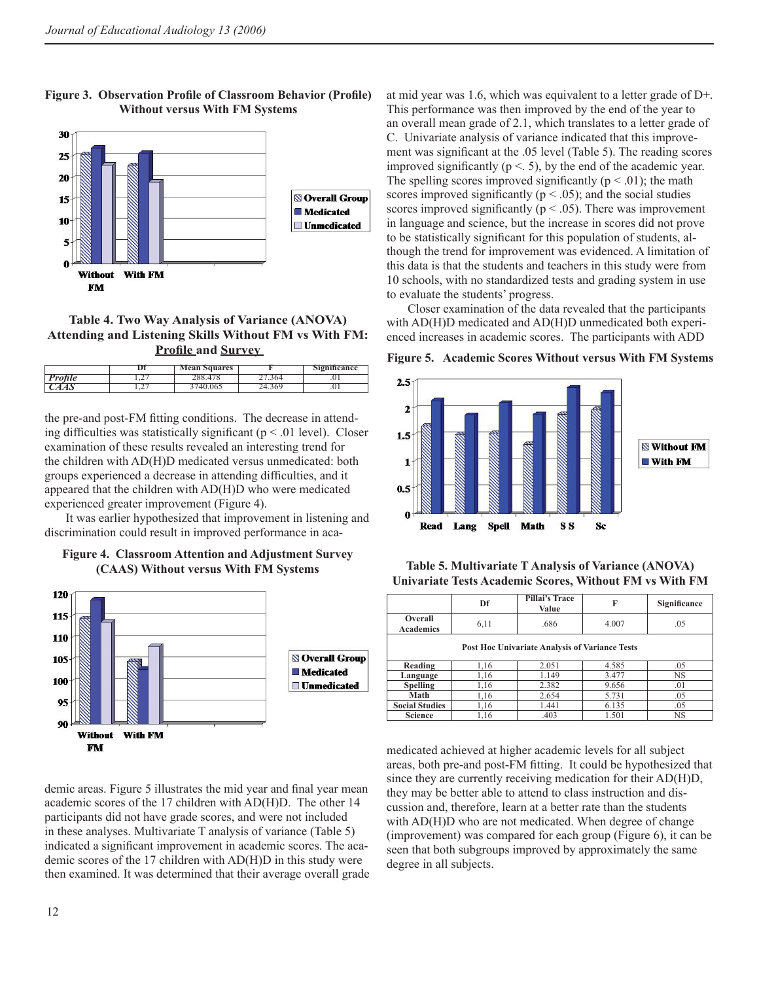

## Figure 3. Observation Profile of Classroom Behavior (Profile) **Without versus With FM Systems**

## **Table 4. Two Way Analysis of Variance (ANOVA) Attending and Listening Skills Without FM vs With FM: Profile and Survey**

|                |                                 | <b>Mean Squares</b> |     | <b>Significance</b> |
|----------------|---------------------------------|---------------------|-----|---------------------|
| <b>Profile</b> | $\overline{1}$ . $\overline{2}$ |                     | ,04 | $\cdot$ .           |
|                | $\overline{1}$                  | 40.065              |     | $\cdot$ vi          |

the pre-and post-FM fitting conditions. The decrease in attending difficulties was statistically significant ( $p < .01$  level). Closer examination of these results revealed an interesting trend for the children with AD(H)D medicated versus unmedicated: both groups experienced a decrease in attending difficulties, and it appeared that the children with AD(H)D who were medicated experienced greater improvement (Figure 4).

 It was earlier hypothesized that improvement in listening and discrimination could result in improved performance in aca-





demic areas. Figure 5 illustrates the mid year and final year mean academic scores of the 17 children with AD(H)D. The other 14 participants did not have grade scores, and were not included in these analyses. Multivariate T analysis of variance (Table 5) indicated a significant improvement in academic scores. The academic scores of the 17 children with AD(H)D in this study were then examined. It was determined that their average overall grade at mid year was 1.6, which was equivalent to a letter grade of D+. This performance was then improved by the end of the year to an overall mean grade of 2.1, which translates to a letter grade of C. Univariate analysis of variance indicated that this improvement was significant at the .05 level (Table 5). The reading scores improved significantly ( $p \le 5$ ), by the end of the academic year. The spelling scores improved significantly ( $p < .01$ ); the math scores improved significantly ( $p < .05$ ); and the social studies scores improved significantly ( $p < .05$ ). There was improvement in language and science, but the increase in scores did not prove to be statistically significant for this population of students, although the trend for improvement was evidenced. A limitation of this data is that the students and teachers in this study were from 10 schools, with no standardized tests and grading system in use to evaluate the students' progress.

 Closer examination of the data revealed that the participants with AD(H)D medicated and AD(H)D unmedicated both experienced increases in academic scores. The participants with ADD

**Figure 5. Academic Scores Without versus With FM Systems** 



**Table 5. Multivariate T Analysis of Variance (ANOVA) Univariate Tests Academic Scores, Without FM vs With FM** 

|                                                       | Df   | Pillai's Trace<br>Value | F     | Significance |  |  |
|-------------------------------------------------------|------|-------------------------|-------|--------------|--|--|
| Overall<br><b>Academics</b>                           | 6,11 | .686                    | 4.007 | .05          |  |  |
| <b>Post Hoc Univariate Analysis of Variance Tests</b> |      |                         |       |              |  |  |
| Reading                                               | 1,16 | 2.051                   | 4.585 | .05          |  |  |
| Language                                              | 1,16 | 1.149                   | 3.477 | <b>NS</b>    |  |  |
| <b>Spelling</b>                                       | 1,16 | 2.382                   | 9.656 | .01          |  |  |
| Math                                                  | 1,16 | 2.654                   | 5.731 | .05          |  |  |
| <b>Social Studies</b>                                 | 1,16 | 1.441                   | 6.135 | .05          |  |  |
| Science                                               | 1,16 | .403                    | 1.501 | NS           |  |  |

medicated achieved at higher academic levels for all subject areas, both pre-and post-FM fitting. It could be hypothesized that since they are currently receiving medication for their AD(H)D, they may be better able to attend to class instruction and discussion and, therefore, learn at a better rate than the students with AD(H)D who are not medicated. When degree of change (improvement) was compared for each group (Figure 6), it can be seen that both subgroups improved by approximately the same degree in all subjects.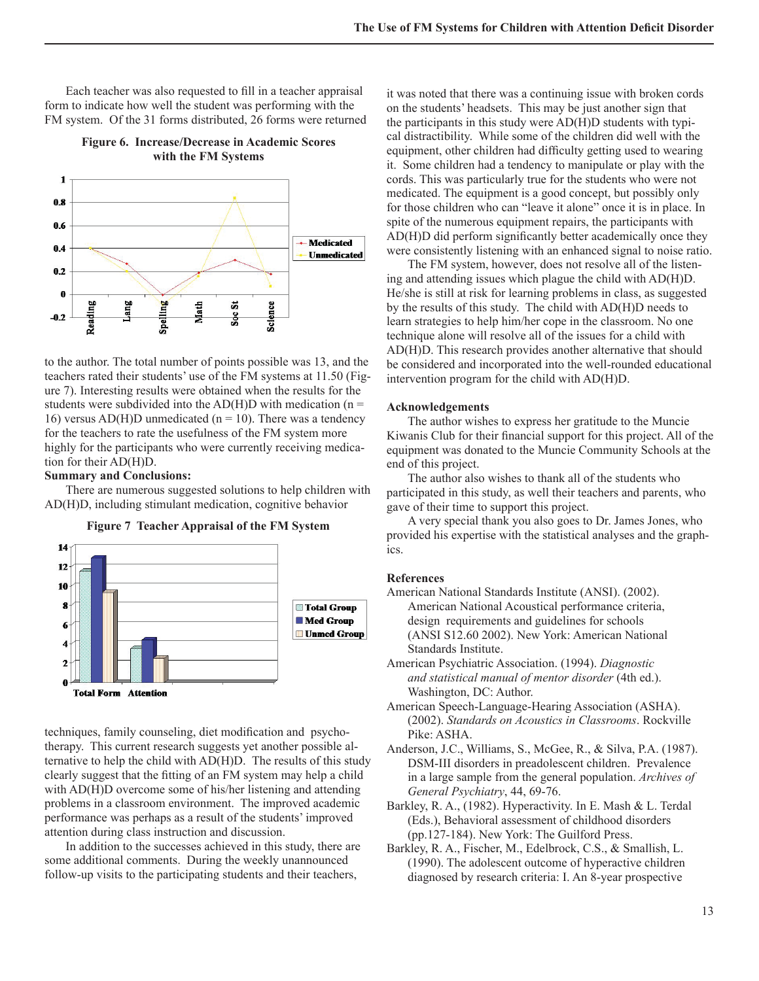Each teacher was also requested to fill in a teacher appraisal form to indicate how well the student was performing with the FM system. Of the 31 forms distributed, 26 forms were returned

**Figure 6. Increase/Decrease in Academic Scores with the FM Systems** 



to the author. The total number of points possible was 13, and the teachers rated their students' use of the FM systems at 11.50 (Figure 7). Interesting results were obtained when the results for the students were subdivided into the  $AD(H)D$  with medication (n = 16) versus AD(H)D unmedicated ( $n = 10$ ). There was a tendency for the teachers to rate the usefulness of the FM system more highly for the participants who were currently receiving medication for their AD(H)D.

## **Summary and Conclusions:**

 There are numerous suggested solutions to help children with AD(H)D, including stimulant medication, cognitive behavior

**Figure 7 Teacher Appraisal of the FM System** 



techniques, family counseling, diet modification and psychotherapy. This current research suggests yet another possible alternative to help the child with AD(H)D. The results of this study clearly suggest that the fitting of an FM system may help a child with AD(H)D overcome some of his/her listening and attending problems in a classroom environment. The improved academic performance was perhaps as a result of the students' improved attention during class instruction and discussion.

 In addition to the successes achieved in this study, there are some additional comments. During the weekly unannounced follow-up visits to the participating students and their teachers,

it was noted that there was a continuing issue with broken cords on the students' headsets. This may be just another sign that the participants in this study were AD(H)D students with typical distractibility. While some of the children did well with the equipment, other children had difficulty getting used to wearing it. Some children had a tendency to manipulate or play with the cords. This was particularly true for the students who were not medicated. The equipment is a good concept, but possibly only for those children who can "leave it alone" once it is in place. In spite of the numerous equipment repairs, the participants with  $AD(H)D$  did perform significantly better academically once they were consistently listening with an enhanced signal to noise ratio.

 The FM system, however, does not resolve all of the listening and attending issues which plague the child with AD(H)D. He/she is still at risk for learning problems in class, as suggested by the results of this study. The child with AD(H)D needs to learn strategies to help him/her cope in the classroom. No one technique alone will resolve all of the issues for a child with AD(H)D. This research provides another alternative that should be considered and incorporated into the well-rounded educational intervention program for the child with AD(H)D.

#### **Acknowledgements**

 The author wishes to express her gratitude to the Muncie Kiwanis Club for their financial support for this project. All of the equipment was donated to the Muncie Community Schools at the end of this project.

 The author also wishes to thank all of the students who participated in this study, as well their teachers and parents, who gave of their time to support this project.

 A very special thank you also goes to Dr. James Jones, who provided his expertise with the statistical analyses and the graphics.

### **References**

American National Standards Institute (ANSI). (2002). American National Acoustical performance criteria, design requirements and guidelines for schools (ANSI S12.60 2002). New York: American National Standards Institute.

- American Psychiatric Association. (1994). *Diagnostic and statistical manual of mentor disorder* (4th ed.). Washington, DC: Author.
- American Speech-Language-Hearing Association (ASHA). (2002). *Standards on Acoustics in Classrooms*. Rockville Pike: ASHA.
- Anderson, J.C., Williams, S., McGee, R., & Silva, P.A. (1987). DSM-III disorders in preadolescent children. Prevalence in a large sample from the general population. *Archives of General Psychiatry*, 44, 69-76.
- Barkley, R. A., (1982). Hyperactivity. In E. Mash & L. Terdal (Eds.), Behavioral assessment of childhood disorders (pp.127-184). New York: The Guilford Press.
- Barkley, R. A., Fischer, M., Edelbrock, C.S., & Smallish, L. (1990). The adolescent outcome of hyperactive children diagnosed by research criteria: I. An 8-year prospective